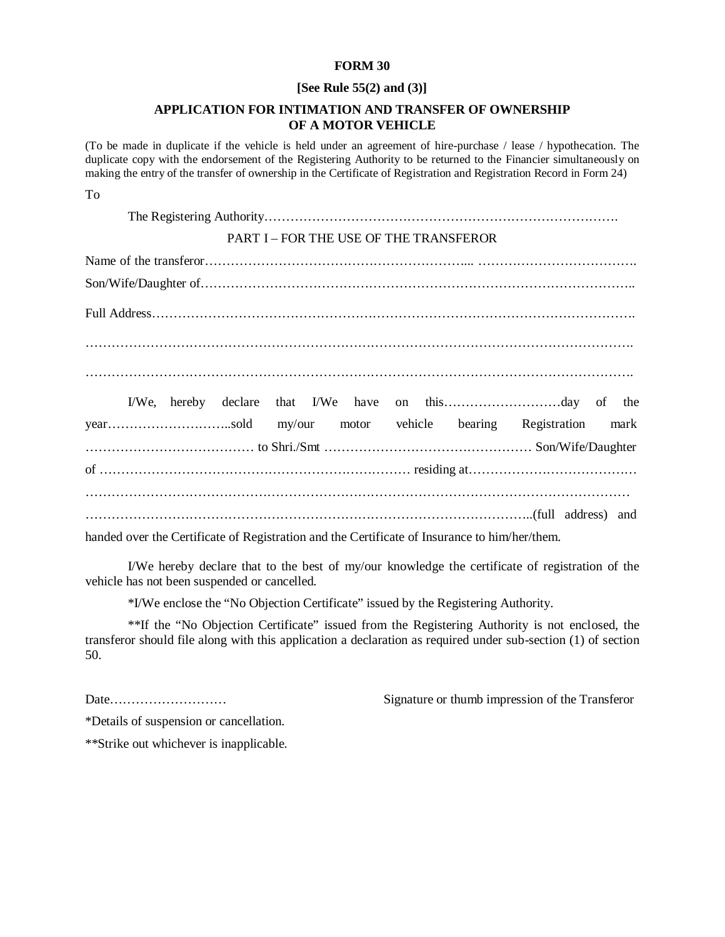# **FORM 30**

# **[See Rule 55(2) and (3)]**

# **APPLICATION FOR INTIMATION AND TRANSFER OF OWNERSHIP OF A MOTOR VEHICLE**

(To be made in duplicate if the vehicle is held under an agreement of hire-purchase / lease / hypothecation. The duplicate copy with the endorsement of the Registering Authority to be returned to the Financier simultaneously on making the entry of the transfer of ownership in the Certificate of Registration and Registration Record in Form 24)

To

The Registering Authority……………………………………………………………………….

# PART I – FOR THE USE OF THE TRANSFEROR

Name of the transferor……………………………………………………... ………………………………. Son/Wife/Daughter of……………………………………………………………………………………….. Full Address…………………………………………………………………………………………………. ………………………………………………………………………………………………………………. ……………………………………………………………………………………………………………….

|  |  |  |  | yearsold my/our motor vehicle bearing Registration mark |  |  |
|--|--|--|--|---------------------------------------------------------|--|--|
|  |  |  |  |                                                         |  |  |
|  |  |  |  |                                                         |  |  |
|  |  |  |  |                                                         |  |  |
|  |  |  |  |                                                         |  |  |

handed over the Certificate of Registration and the Certificate of Insurance to him/her/them.

I/We hereby declare that to the best of my/our knowledge the certificate of registration of the vehicle has not been suspended or cancelled.

\*I/We enclose the "No Objection Certificate" issued by the Registering Authority.

\*\*If the "No Objection Certificate" issued from the Registering Authority is not enclosed, the transferor should file along with this application a declaration as required under sub-section (1) of section 50.

Date……………………… Signature or thumb impression of the Transferor

\*Details of suspension or cancellation.

\*\*Strike out whichever is inapplicable.